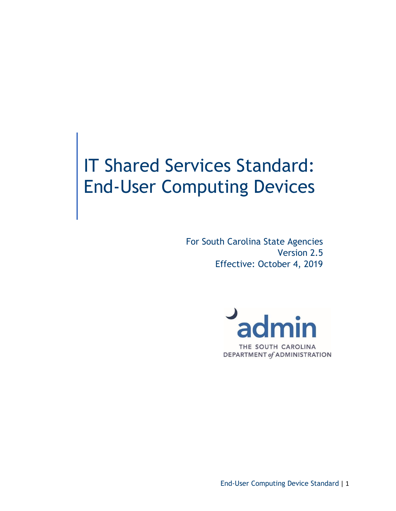# IT Shared Services Standard: End-User Computing Devices

For South Carolina State Agencies Version 2.5 Effective: October 4, 2019



End-User Computing Device Standard | 1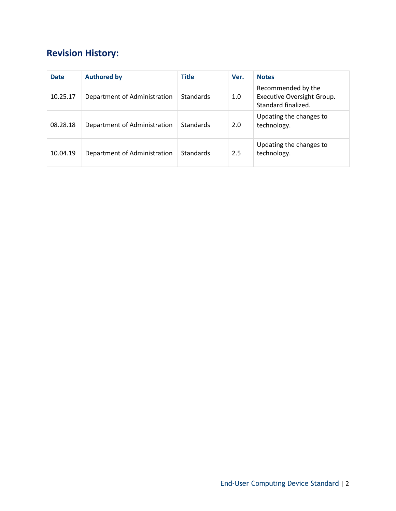# **Revision History:**

| <b>Date</b> | <b>Authored by</b>           | <b>Title</b>     | Ver. | <b>Notes</b>                                                            |
|-------------|------------------------------|------------------|------|-------------------------------------------------------------------------|
| 10.25.17    | Department of Administration | <b>Standards</b> | 1.0  | Recommended by the<br>Executive Oversight Group.<br>Standard finalized. |
| 08.28.18    | Department of Administration | <b>Standards</b> | 2.0  | Updating the changes to<br>technology.                                  |
| 10.04.19    | Department of Administration | <b>Standards</b> | 2.5  | Updating the changes to<br>technology.                                  |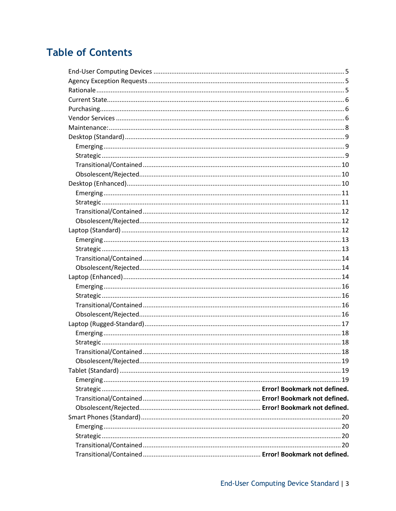# **Table of Contents**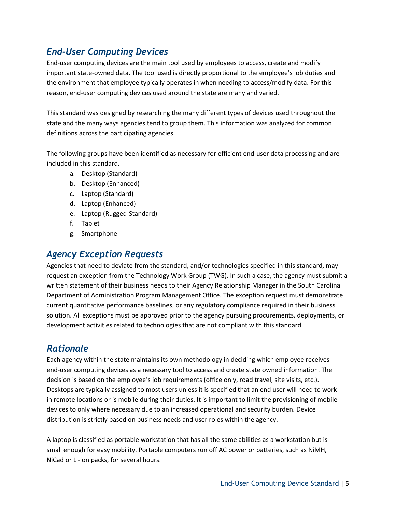# <span id="page-4-0"></span>*End-User Computing Devices*

End-user computing devices are the main tool used by employees to access, create and modify important state-owned data. The tool used is directly proportional to the employee's job duties and the environment that employee typically operates in when needing to access/modify data. For this reason, end-user computing devices used around the state are many and varied.

This standard was designed by researching the many different types of devices used throughout the state and the many ways agencies tend to group them. This information was analyzed for common definitions across the participating agencies.

The following groups have been identified as necessary for efficient end-user data processing and are included in this standard.

- a. Desktop (Standard)
- b. Desktop (Enhanced)
- c. Laptop (Standard)
- d. Laptop (Enhanced)
- e. Laptop (Rugged-Standard)
- f. Tablet
- g. Smartphone

# <span id="page-4-1"></span>*Agency Exception Requests*

Agencies that need to deviate from the standard, and/or technologies specified in this standard, may request an exception from the Technology Work Group (TWG). In such a case, the agency must submit a written statement of their business needs to their Agency Relationship Manager in the South Carolina Department of Administration Program Management Office. The exception request must demonstrate current quantitative performance baselines, or any regulatory compliance required in their business solution. All exceptions must be approved prior to the agency pursuing procurements, deployments, or development activities related to technologies that are not compliant with this standard.

# <span id="page-4-2"></span>*Rationale*

Each agency within the state maintains its own methodology in deciding which employee receives end-user computing devices as a necessary tool to access and create state owned information. The decision is based on the employee's job requirements (office only, road travel, site visits, etc.). Desktops are typically assigned to most users unless it is specified that an end user will need to work in remote locations or is mobile during their duties. It is important to limit the provisioning of mobile devices to only where necessary due to an increased operational and security burden. Device distribution is strictly based on business needs and user roles within the agency.

A laptop is classified as portable workstation that has all the same abilities as a workstation but is small enough for easy mobility. Portable computers run off AC power or batteries, such as NiMH, NiCad or Li-ion packs, for several hours.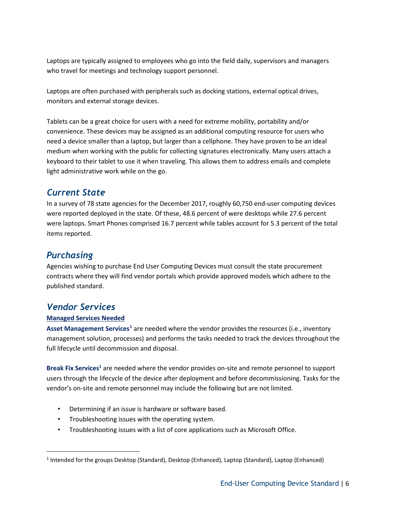Laptops are typically assigned to employees who go into the field daily, supervisors and managers who travel for meetings and technology support personnel.

Laptops are often purchased with peripherals such as docking stations, external optical drives, monitors and external storage devices.

Tablets can be a great choice for users with a need for extreme mobility, portability and/or convenience. These devices may be assigned as an additional computing resource for users who need a device smaller than a laptop, but larger than a cellphone. They have proven to be an ideal medium when working with the public for collecting signatures electronically. Many users attach a keyboard to their tablet to use it when traveling. This allows them to address emails and complete light administrative work while on the go.

# <span id="page-5-0"></span>*Current State*

In a survey of 78 state agencies for the December 2017, roughly 60,750 end-user computing devices were reported deployed in the state. Of these, 48.6 percent of were desktops while 27.6 percent were laptops. Smart Phones comprised 16.7 percent while tables account for 5.3 percent of the total items reported.

# <span id="page-5-1"></span>*Purchasing*

Agencies wishing to purchase End User Computing Devices must consult the state procurement contracts where they will find vendor portals which provide approved models which adhere to the published standard.

# <span id="page-5-2"></span>*Vendor Services*

# **Managed Services Needed**

**Asset Management Services[1](#page-5-3)** are needed where the vendor provides the resources (i.e., inventory management solution, processes) and performs the tasks needed to track the devices throughout the full lifecycle until decommission and disposal.

**Break Fix Services1** are needed where the vendor provides on-site and remote personnel to support users through the lifecycle of the device after deployment and before decommissioning. Tasks for the vendor's on-site and remote personnel may include the following but are not limited.

- Determining if an issue is hardware or software based.
- Troubleshooting issues with the operating system.
- Troubleshooting issues with a list of core applications such as Microsoft Office.

<span id="page-5-3"></span> <sup>1</sup> Intended for the groups Desktop (Standard), Desktop (Enhanced), Laptop (Standard), Laptop (Enhanced)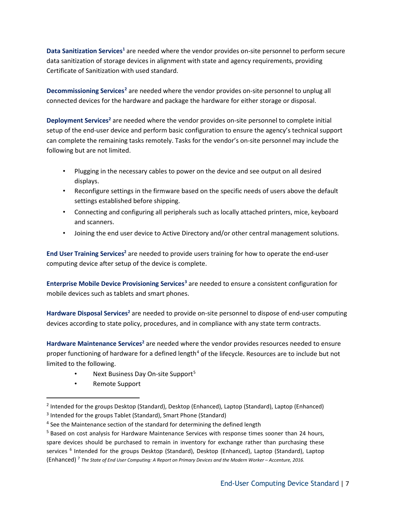**Data Sanitization Services<sup>1</sup>** are needed where the vendor provides on-site personnel to perform secure data sanitization of storage devices in alignment with state and agency requirements, providing Certificate of Sanitization with used standard.

**Decommissioning Services[2](#page-6-0)** are needed where the vendor provides on-site personnel to unplug all connected devices for the hardware and package the hardware for either storage or disposal.

**Deployment Services<sup>2</sup>** are needed where the vendor provides on-site personnel to complete initial setup of the end-user device and perform basic configuration to ensure the agency's technical support can complete the remaining tasks remotely. Tasks for the vendor's on-site personnel may include the following but are not limited.

- Plugging in the necessary cables to power on the device and see output on all desired displays.
- Reconfigure settings in the firmware based on the specific needs of users above the default settings established before shipping.
- Connecting and configuring all peripherals such as locally attached printers, mice, keyboard and scanners.
- Joining the end user device to Active Directory and/or other central management solutions.

**End User Training Services<sup>2</sup>** are needed to provide users training for how to operate the end-user computing device after setup of the device is complete.

**Enterprise Mobile Device Provisioning Services[3](#page-6-1)** are needed to ensure a consistent configuration for mobile devices such as tablets and smart phones.

**Hardware Disposal Services<sup>2</sup> are needed to provide on-site personnel to dispose of end-user computing** devices according to state policy, procedures, and in compliance with any state term contracts.

Hardware Maintenance Services<sup>2</sup> are needed where the vendor provides resources needed to ensure proper functioning of hardware for a defined length<sup>[4](#page-6-2)</sup> of the lifecycle. Resources are to include but not limited to the following.

- Next Business Day On-site Support<sup>[5](#page-6-3)</sup>
- Remote Support

<span id="page-6-0"></span> <sup>2</sup> Intended for the groups Desktop (Standard), Desktop (Enhanced), Laptop (Standard), Laptop (Enhanced)

<span id="page-6-1"></span><sup>&</sup>lt;sup>3</sup> Intended for the groups Tablet (Standard), Smart Phone (Standard)

<span id="page-6-2"></span><sup>&</sup>lt;sup>4</sup> See the Maintenance section of the standard for determining the defined length

<span id="page-6-3"></span><sup>&</sup>lt;sup>5</sup> Based on cost analysis for Hardware Maintenance Services with response times sooner than 24 hours, spare devices should be purchased to remain in inventory for exchange rather than purchasing these services <sup>6</sup> Intended for the groups Desktop (Standard), Desktop (Enhanced), Laptop (Standard), Laptop (Enhanced) 7 *The State of End User Computing: A Report on Primary Devices and the Modern Worker – Accenture, 2016.*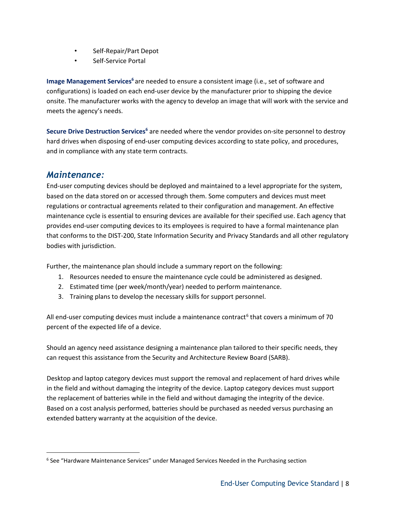- Self-Repair/Part Depot
- Self-Service Portal

**Image Management Services**<sup>6</sup> are needed to ensure a consistent image (i.e., set of software and configurations) is loaded on each end-user device by the manufacturer prior to shipping the device onsite. The manufacturer works with the agency to develop an image that will work with the service and meets the agency's needs.

Secure Drive Destruction Services<sup>6</sup> are needed where the vendor provides on-site personnel to destroy hard drives when disposing of end-user computing devices according to state policy, and procedures, and in compliance with any state term contracts.

# <span id="page-7-0"></span>*Maintenance:*

End-user computing devices should be deployed and maintained to a level appropriate for the system, based on the data stored on or accessed through them. Some computers and devices must meet regulations or contractual agreements related to their configuration and management. An effective maintenance cycle is essential to ensuring devices are available for their specified use. Each agency that provides end-user computing devices to its employees is required to have a formal maintenance plan that conforms to the DIST-200, State Information Security and Privacy Standards and all other regulatory bodies with jurisdiction.

Further, the maintenance plan should include a summary report on the following:

- 1. Resources needed to ensure the maintenance cycle could be administered as designed.
- 2. Estimated time (per week/month/year) needed to perform maintenance.
- 3. Training plans to develop the necessary skills for support personnel.

All end-user computing devices must include a maintenance contract<sup>[6](#page-7-1)</sup> that covers a minimum of 70 percent of the expected life of a device.

Should an agency need assistance designing a maintenance plan tailored to their specific needs, they can request this assistance from the Security and Architecture Review Board (SARB).

Desktop and laptop category devices must support the removal and replacement of hard drives while in the field and without damaging the integrity of the device. Laptop category devices must support the replacement of batteries while in the field and without damaging the integrity of the device. Based on a cost analysis performed, batteries should be purchased as needed versus purchasing an extended battery warranty at the acquisition of the device.

<span id="page-7-1"></span> <sup>6</sup> See "Hardware Maintenance Services" under Managed Services Needed in the Purchasing section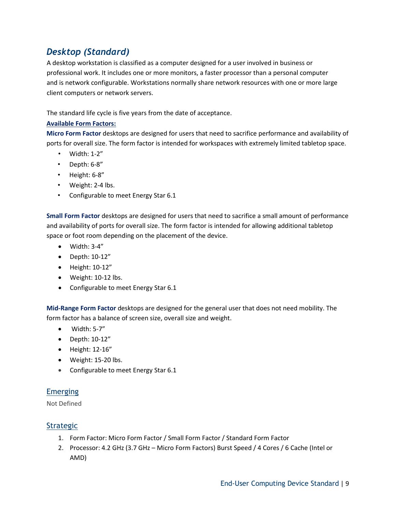# <span id="page-8-0"></span>*Desktop (Standard)*

A desktop workstation is classified as a computer designed for a user involved in business or professional work. It includes one or more monitors, a faster processor than a personal computer and is network configurable. Workstations normally share network resources with one or more large client computers or network servers.

The standard life cycle is five years from the date of acceptance.

#### **Available Form Factors:**

**Micro Form Factor** desktops are designed for users that need to sacrifice performance and availability of ports for overall size. The form factor is intended for workspaces with extremely limited tabletop space.

- Width: 1-2"
- Depth: 6-8"
- Height: 6-8"
- Weight: 2-4 lbs.
- Configurable to meet Energy Star 6.1

**Small Form Factor** desktops are designed for users that need to sacrifice a small amount of performance and availability of ports for overall size. The form factor is intended for allowing additional tabletop space or foot room depending on the placement of the device.

- $\bullet$  Width: 3-4"
- Depth: 10-12"
- Height: 10-12"
- Weight: 10-12 lbs.
- Configurable to meet Energy Star 6.1

**Mid-Range Form Factor** desktops are designed for the general user that does not need mobility. The form factor has a balance of screen size, overall size and weight.

- Width: 5-7"
- Depth: 10-12"
- Height: 12-16"
- Weight: 15-20 lbs.
- Configurable to meet Energy Star 6.1

#### <span id="page-8-1"></span>Emerging

Not Defined

#### <span id="page-8-2"></span>Strategic

- 1. Form Factor: Micro Form Factor / Small Form Factor / Standard Form Factor
- 2. Processor: 4.2 GHz (3.7 GHz Micro Form Factors) Burst Speed / 4 Cores / 6 Cache (Intel or AMD)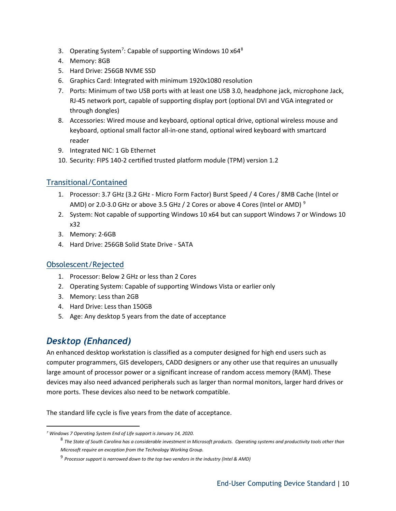- 3. Operating System<sup>[7](#page-9-3)</sup>: Capable of supporting Windows 10 x64<sup>[8](#page-9-4)</sup>
- 4. Memory: 8GB
- 5. Hard Drive: 256GB NVME SSD
- 6. Graphics Card: Integrated with minimum 1920x1080 resolution
- 7. Ports: Minimum of two USB ports with at least one USB 3.0, headphone jack, microphone Jack, RJ-45 network port, capable of supporting display port (optional DVI and VGA integrated or through dongles)
- 8. Accessories: Wired mouse and keyboard, optional optical drive, optional wireless mouse and keyboard, optional small factor all-in-one stand, optional wired keyboard with smartcard reader
- 9. Integrated NIC: 1 Gb Ethernet
- 10. Security: FIPS 140-2 certified trusted platform module (TPM) version 1.2

# <span id="page-9-0"></span>Transitional/Contained

- 1. Processor: 3.7 GHz (3.2 GHz Micro Form Factor) Burst Speed / 4 Cores / 8MB Cache (Intel or AMD) or 2.0-3.0 GHz or above 3.5 GHz / 2 Cores or above 4 Cores (Intel or AMD)  $^9$  $^9$
- 2. System: Not capable of supporting Windows 10 x64 but can support Windows 7 or Windows 10 x32
- 3. Memory: 2-6GB
- 4. Hard Drive: 256GB Solid State Drive SATA

# <span id="page-9-1"></span>Obsolescent/Rejected

- 1. Processor: Below 2 GHz or less than 2 Cores
- 2. Operating System: Capable of supporting Windows Vista or earlier only
- 3. Memory: Less than 2GB
- 4. Hard Drive: Less than 150GB
- 5. Age: Any desktop 5 years from the date of acceptance

# <span id="page-9-2"></span>*Desktop (Enhanced)*

 $\overline{\phantom{a}}$ 

An enhanced desktop workstation is classified as a computer designed for high end users such as computer programmers, GIS developers, CADD designers or any other use that requires an unusually large amount of processor power or a significant increase of random access memory (RAM). These devices may also need advanced peripherals such as larger than normal monitors, larger hard drives or more ports. These devices also need to be network compatible.

The standard life cycle is five years from the date of acceptance.

<span id="page-9-5"></span><span id="page-9-4"></span><span id="page-9-3"></span>*<sup>7</sup> Windows 7 Operating System End of Life support is January 14, 2020.*

<sup>8</sup> *The State of South Carolina has a considerable investment in Microsoft products. Operating systems and productivity tools other than Microsoft require an exception from the Technology Working Group.*

<sup>9</sup> *Processor support is narrowed down to the top two vendors in the industry (Intel & AMD)*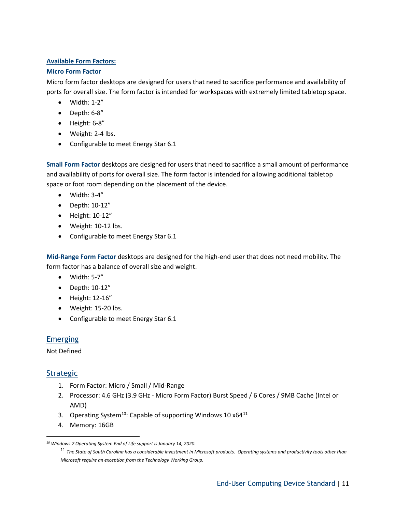#### **Available Form Factors:**

#### **Micro Form Factor**

Micro form factor desktops are designed for users that need to sacrifice performance and availability of ports for overall size. The form factor is intended for workspaces with extremely limited tabletop space.

- Width: 1-2"
- Depth: 6-8"
- Height: 6-8"
- Weight: 2-4 lbs.
- Configurable to meet Energy Star 6.1

**Small Form Factor** desktops are designed for users that need to sacrifice a small amount of performance and availability of ports for overall size. The form factor is intended for allowing additional tabletop space or foot room depending on the placement of the device.

- Width: 3-4"
- Depth: 10-12"
- Height: 10-12"
- Weight: 10-12 lbs.
- Configurable to meet Energy Star 6.1

**Mid-Range Form Factor** desktops are designed for the high-end user that does not need mobility. The form factor has a balance of overall size and weight.

- Width: 5-7"
- Depth: 10-12"
- Height: 12-16"
- Weight: 15-20 lbs.
- Configurable to meet Energy Star 6.1

# <span id="page-10-0"></span>**Emerging**

Not Defined

# <span id="page-10-1"></span>**Strategic**

l

- 1. Form Factor: Micro / Small / Mid-Range
- 2. Processor: 4.6 GHz (3.9 GHz Micro Form Factor) Burst Speed / 6 Cores / 9MB Cache (Intel or AMD)
- 3. Operating System<sup>[10](#page-10-2)</sup>: Capable of supporting Windows 10  $x64^{11}$  $x64^{11}$  $x64^{11}$
- 4. Memory: 16GB

<span id="page-10-3"></span><span id="page-10-2"></span>*<sup>10</sup> Windows 7 Operating System End of Life support is January 14, 2020.*

<sup>11</sup> *The State of South Carolina has a considerable investment in Microsoft products. Operating systems and productivity tools other than Microsoft require an exception from the Technology Working Group.*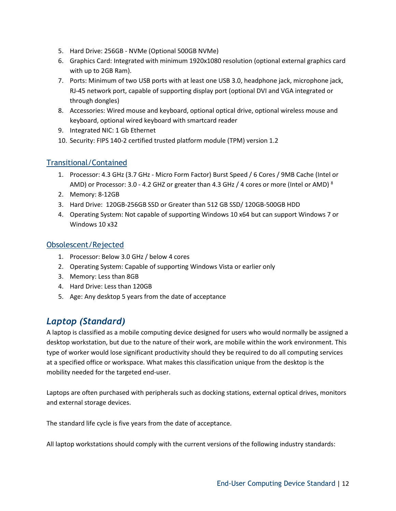- 5. Hard Drive: 256GB NVMe (Optional 500GB NVMe)
- 6. Graphics Card: Integrated with minimum 1920x1080 resolution (optional external graphics card with up to 2GB Ram).
- 7. Ports: Minimum of two USB ports with at least one USB 3.0, headphone jack, microphone jack, RJ-45 network port, capable of supporting display port (optional DVI and VGA integrated or through dongles)
- 8. Accessories: Wired mouse and keyboard, optional optical drive, optional wireless mouse and keyboard, optional wired keyboard with smartcard reader
- 9. Integrated NIC: 1 Gb Ethernet
- 10. Security: FIPS 140-2 certified trusted platform module (TPM) version 1.2

# <span id="page-11-0"></span>Transitional/Contained

- 1. Processor: 4.3 GHz (3.7 GHz Micro Form Factor) Burst Speed / 6 Cores / 9MB Cache (Intel or AMD) or Processor: 3.0 - 4.2 GHZ or greater than 4.3 GHz / 4 cores or more (Intel or AMD)  $^8$
- 2. Memory: 8-12GB
- 3. Hard Drive: 120GB-256GB SSD or Greater than 512 GB SSD/ 120GB-500GB HDD
- 4. Operating System: Not capable of supporting Windows 10 x64 but can support Windows 7 or Windows 10 x32

#### <span id="page-11-1"></span>Obsolescent/Rejected

- 1. Processor: Below 3.0 GHz / below 4 cores
- 2. Operating System: Capable of supporting Windows Vista or earlier only
- 3. Memory: Less than 8GB
- 4. Hard Drive: Less than 120GB
- 5. Age: Any desktop 5 years from the date of acceptance

# <span id="page-11-2"></span>*Laptop (Standard)*

A laptop is classified as a mobile computing device designed for users who would normally be assigned a desktop workstation, but due to the nature of their work, are mobile within the work environment. This type of worker would lose significant productivity should they be required to do all computing services at a specified office or workspace. What makes this classification unique from the desktop is the mobility needed for the targeted end-user.

Laptops are often purchased with peripherals such as docking stations, external optical drives, monitors and external storage devices.

The standard life cycle is five years from the date of acceptance.

All laptop workstations should comply with the current versions of the following industry standards: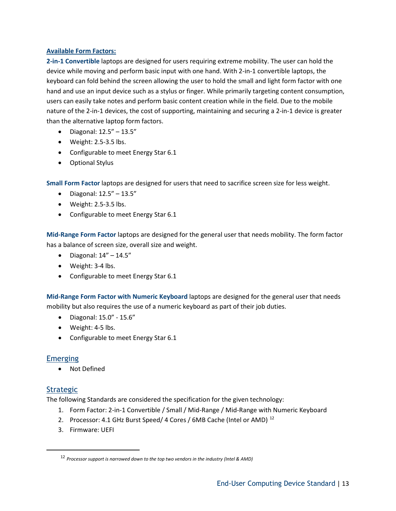#### **Available Form Factors:**

**2-in-1 Convertible** laptops are designed for users requiring extreme mobility. The user can hold the device while moving and perform basic input with one hand. With 2-in-1 convertible laptops, the keyboard can fold behind the screen allowing the user to hold the small and light form factor with one hand and use an input device such as a stylus or finger. While primarily targeting content consumption, users can easily take notes and perform basic content creation while in the field. Due to the mobile nature of the 2-in-1 devices, the cost of supporting, maintaining and securing a 2-in-1 device is greater than the alternative laptop form factors.

- Diagonal: 12.5" 13.5"
- Weight: 2.5-3.5 lbs.
- Configurable to meet Energy Star 6.1
- Optional Stylus

**Small Form Factor** laptops are designed for users that need to sacrifice screen size for less weight.

- Diagonal: 12.5" 13.5"
- Weight: 2.5-3.5 lbs.
- Configurable to meet Energy Star 6.1

**Mid-Range Form Factor** laptops are designed for the general user that needs mobility. The form factor has a balance of screen size, overall size and weight.

- $\bullet$  Diagonal:  $14'' 14.5''$
- Weight: 3-4 lbs.
- Configurable to meet Energy Star 6.1

**Mid-Range Form Factor with Numeric Keyboard** laptops are designed for the general user that needs mobility but also requires the use of a numeric keyboard as part of their job duties.

- Diagonal: 15.0" 15.6"
- Weight: 4-5 lbs.
- Configurable to meet Energy Star 6.1

# <span id="page-12-0"></span>**Emerging**

• Not Defined

# <span id="page-12-1"></span>**Strategic**

The following Standards are considered the specification for the given technology:

- 1. Form Factor: 2-in-1 Convertible / Small / Mid-Range / Mid-Range with Numeric Keyboard
- 2. Processor: 4.1 GHz Burst Speed/ 4 Cores / 6MB Cache (Intel or AMD)<sup>[12](#page-12-2)</sup>
- 3. Firmware: UEFI

<span id="page-12-2"></span> <sup>12</sup> *Processor support is narrowed down to the top two vendors in the industry (Intel & AMD)*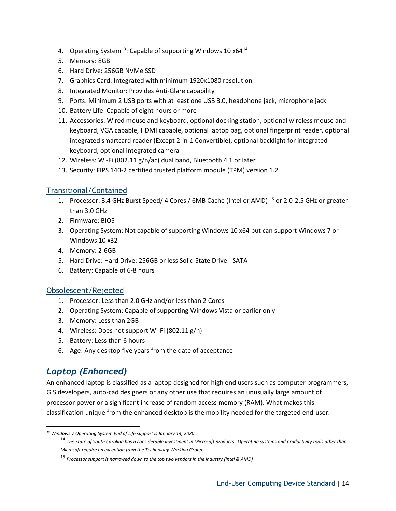- 4. Operating System<sup>[13](#page-13-3)</sup>: Capable of supporting Windows 10  $x64^{14}$  $x64^{14}$  $x64^{14}$
- 5. Memory: 8GB
- 6. Hard Drive: 256GB NVMe SSD
- 7. Graphics Card: Integrated with minimum 1920x1080 resolution
- 8. Integrated Monitor: Provides Anti-Glare capability
- 9. Ports: Minimum 2 USB ports with at least one USB 3.0, headphone jack, microphone jack
- 10. Battery Life: Capable of eight hours or more
- 11. Accessories: Wired mouse and keyboard, optional docking station, optional wireless mouse and keyboard, VGA capable, HDMI capable, optional laptop bag, optional fingerprint reader, optional integrated smartcard reader (Except 2-in-1 Convertible), optional backlight for integrated keyboard, optional integrated camera
- 12. Wireless: Wi-Fi (802.11 g/n/ac) dual band, Bluetooth 4.1 or later
- 13. Security: FIPS 140-2 certified trusted platform module (TPM) version 1.2

# <span id="page-13-0"></span>Transitional/Contained

- 1. Processor: 3.4 GHz Burst Speed/ 4 Cores / 6MB Cache (Intel or AMD)<sup>[15](#page-13-5)</sup> or 2.0-2.5 GHz or greater than 3.0 GHz
- 2. Firmware: BIOS
- 3. Operating System: Not capable of supporting Windows 10 x64 but can support Windows 7 or Windows 10 x32
- 4. Memory: 2-6GB
- 5. Hard Drive: Hard Drive: 256GB or less Solid State Drive SATA
- 6. Battery: Capable of 6-8 hours

# <span id="page-13-1"></span>Obsolescent/Rejected

- 1. Processor: Less than 2.0 GHz and/or less than 2 Cores
- 2. Operating System: Capable of supporting Windows Vista or earlier only
- 3. Memory: Less than 2GB
- 4. Wireless: Does not support Wi-Fi (802.11 g/n)
- 5. Battery: Less than 6 hours
- 6. Age: Any desktop five years from the date of acceptance

# <span id="page-13-2"></span>*Laptop (Enhanced)*

 $\overline{\phantom{a}}$ 

An enhanced laptop is classified as a laptop designed for high end users such as computer programmers, GIS developers, auto-cad designers or any other use that requires an unusually large amount of processor power or a significant increase of random access memory (RAM). What makes this classification unique from the enhanced desktop is the mobility needed for the targeted end-user.

<span id="page-13-5"></span><span id="page-13-4"></span><span id="page-13-3"></span>*<sup>13</sup> Windows 7 Operating System End of Life support is January 14, 2020.*

<sup>&</sup>lt;sup>14</sup> The State of South Carolina has a considerable investment in Microsoft products. Operating systems and productivity tools other than *Microsoft require an exception from the Technology Working Group.*

<sup>15</sup> *Processor support is narrowed down to the top two vendors in the industry (Intel & AMD)*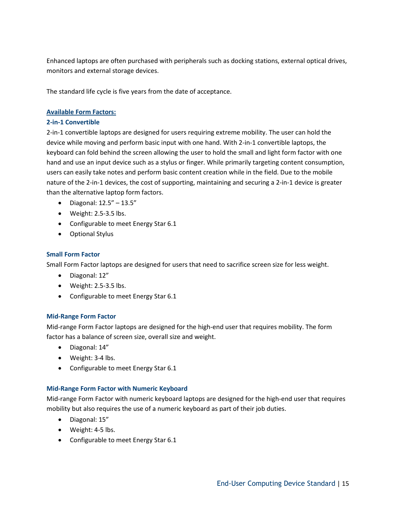Enhanced laptops are often purchased with peripherals such as docking stations, external optical drives, monitors and external storage devices.

The standard life cycle is five years from the date of acceptance.

#### **Available Form Factors:**

#### **2-in-1 Convertible**

2-in-1 convertible laptops are designed for users requiring extreme mobility. The user can hold the device while moving and perform basic input with one hand. With 2-in-1 convertible laptops, the keyboard can fold behind the screen allowing the user to hold the small and light form factor with one hand and use an input device such as a stylus or finger. While primarily targeting content consumption, users can easily take notes and perform basic content creation while in the field. Due to the mobile nature of the 2-in-1 devices, the cost of supporting, maintaining and securing a 2-in-1 device is greater than the alternative laptop form factors.

- Diagonal: 12.5" 13.5"
- $\bullet$  Weight: 2.5-3.5 lbs.
- Configurable to meet Energy Star 6.1
- Optional Stylus

#### **Small Form Factor**

Small Form Factor laptops are designed for users that need to sacrifice screen size for less weight.

- Diagonal: 12"
- $\bullet$  Weight: 2.5-3.5 lbs.
- Configurable to meet Energy Star 6.1

#### **Mid-Range Form Factor**

Mid-range Form Factor laptops are designed for the high-end user that requires mobility. The form factor has a balance of screen size, overall size and weight.

- Diagonal: 14"
- Weight: 3-4 lbs.
- Configurable to meet Energy Star 6.1

#### **Mid-Range Form Factor with Numeric Keyboard**

Mid-range Form Factor with numeric keyboard laptops are designed for the high-end user that requires mobility but also requires the use of a numeric keyboard as part of their job duties.

- Diagonal: 15"
- Weight: 4-5 lbs.
- Configurable to meet Energy Star 6.1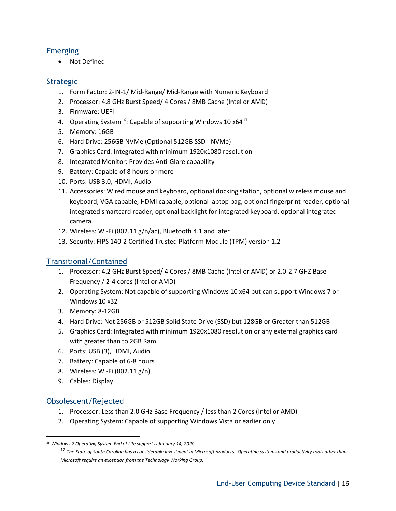### <span id="page-15-0"></span>Emerging

• Not Defined

### <span id="page-15-1"></span>**Strategic**

- 1. Form Factor: 2-IN-1/ Mid-Range/ Mid-Range with Numeric Keyboard
- 2. Processor: 4.8 GHz Burst Speed/ 4 Cores / 8MB Cache (Intel or AMD)
- 3. Firmware: UEFI
- 4. Operating System<sup>[16](#page-15-4)</sup>: Capable of supporting Windows 10  $x64^{17}$  $x64^{17}$  $x64^{17}$
- 5. Memory: 16GB
- 6. Hard Drive: 256GB NVMe (Optional 512GB SSD NVMe)
- 7. Graphics Card: Integrated with minimum 1920x1080 resolution
- 8. Integrated Monitor: Provides Anti-Glare capability
- 9. Battery: Capable of 8 hours or more
- 10. Ports: USB 3.0, HDMI, Audio
- 11. Accessories: Wired mouse and keyboard, optional docking station, optional wireless mouse and keyboard, VGA capable, HDMI capable, optional laptop bag, optional fingerprint reader, optional integrated smartcard reader, optional backlight for integrated keyboard, optional integrated camera
- 12. Wireless: Wi-Fi (802.11 g/n/ac), Bluetooth 4.1 and later
- 13. Security: FIPS 140-2 Certified Trusted Platform Module (TPM) version 1.2

# <span id="page-15-2"></span>Transitional/Contained

- 1. Processor: 4.2 GHz Burst Speed/ 4 Cores / 8MB Cache (Intel or AMD) or 2.0-2.7 GHZ Base Frequency / 2-4 cores (Intel or AMD)
- 2. Operating System: Not capable of supporting Windows 10 x64 but can support Windows 7 or Windows 10 x32
- 3. Memory: 8-12GB
- 4. Hard Drive: Not 256GB or 512GB Solid State Drive (SSD) but 128GB or Greater than 512GB
- 5. Graphics Card: Integrated with minimum 1920x1080 resolution or any external graphics card with greater than to 2GB Ram
- 6. Ports: USB (3), HDMI, Audio
- 7. Battery: Capable of 6-8 hours
- 8. Wireless: Wi-Fi (802.11 g/n)
- 9. Cables: Display

# <span id="page-15-3"></span>Obsolescent/Rejected

l

- 1. Processor: Less than 2.0 GHz Base Frequency / less than 2 Cores (Intel or AMD)
- 2. Operating System: Capable of supporting Windows Vista or earlier only

<span id="page-15-5"></span><span id="page-15-4"></span>*<sup>16</sup> Windows 7 Operating System End of Life support is January 14, 2020.*

<sup>&</sup>lt;sup>17</sup> The State of South Carolina has a considerable investment in Microsoft products. Operating systems and productivity tools other than *Microsoft require an exception from the Technology Working Group.*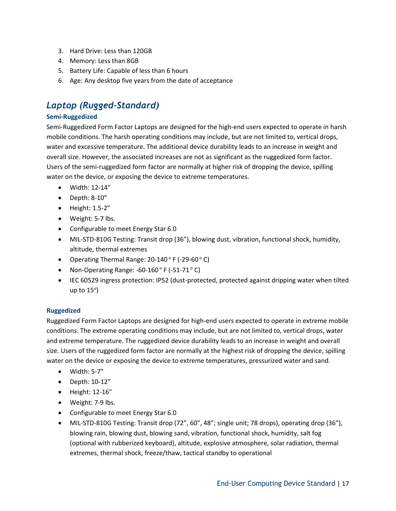- 3. Hard Drive: Less than 120GB
- 4. Memory: Less than 8GB
- 5. Battery Life: Capable of less than 6 hours
- 6. Age: Any desktop five years from the date of acceptance

# <span id="page-16-0"></span>*Laptop (Rugged-Standard)*

#### **Semi-Ruggedized**

Semi-Ruggedized Form Factor Laptops are designed for the high-end users expected to operate in harsh mobile conditions. The harsh operating conditions may include, but are not limited to, vertical drops, water and excessive temperature. The additional device durability leads to an increase in weight and overall size. However, the associated increases are not as significant as the ruggedized form factor. Users of the semi-ruggedized form factor are normally at higher risk of dropping the device, spilling water on the device, or exposing the device to extreme temperatures.

- Width: 12-14"
- Depth: 8-10"
- Height: 1.5-2"
- Weight: 5-7 lbs.
- Configurable to meet Energy Star 6.0
- MIL-STD-810G Testing: Transit drop (36"), blowing dust, vibration, functional shock, humidity, altitude, thermal extremes
- Operating Thermal Range:  $20-140^{\circ}$  F (-29-60 $^{\circ}$  C)
- Non-Operating Range:  $-60-160$  ° F  $(-51-71$  ° C)
- IEC 60529 ingress protection: IP52 (dust-protected, protected against dripping water when tilted up to  $15^{\circ}$ )

#### **Ruggedized**

Ruggedized Form Factor Laptops are designed for high-end users expected to operate in extreme mobile conditions. The extreme operating conditions may include, but are not limited to, vertical drops, water and extreme temperature. The ruggedized device durability leads to an increase in weight and overall size. Users of the ruggedized form factor are normally at the highest risk of dropping the device, spilling water on the device or exposing the device to extreme temperatures, pressurized water and sand.

- Width: 5-7"
- Depth: 10-12"
- Height: 12-16"
- Weight: 7-9 lbs.
- Configurable to meet Energy Star 6.0
- MIL-STD-810G Testing: Transit drop (72", 60", 48"; single unit; 78 drops), operating drop (36"), blowing rain, blowing dust, blowing sand, vibration, functional shock, humidity, salt fog (optional with rubberized keyboard), altitude, explosive atmosphere, solar radiation, thermal extremes, thermal shock, freeze/thaw, tactical standby to operational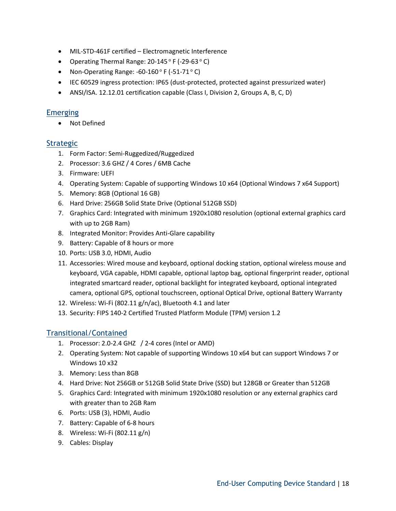- MIL-STD-461F certified Electromagnetic Interference
- Operating Thermal Range:  $20-145$  ° F (-29-63 ° C)
- Non-Operating Range:  $-60-160^{\circ}$  F  $(-51-71^{\circ}$  C)
- IEC 60529 ingress protection: IP65 (dust-protected, protected against pressurized water)
- ANSI/ISA. 12.12.01 certification capable (Class I, Division 2, Groups A, B, C, D)

# <span id="page-17-0"></span>**Emerging**

• Not Defined

# <span id="page-17-1"></span>**Strategic**

- 1. Form Factor: Semi-Ruggedized/Ruggedized
- 2. Processor: 3.6 GHZ / 4 Cores / 6MB Cache
- 3. Firmware: UEFI
- 4. Operating System: Capable of supporting Windows 10 x64 (Optional Windows 7 x64 Support)
- 5. Memory: 8GB (Optional 16 GB)
- 6. Hard Drive: 256GB Solid State Drive (Optional 512GB SSD)
- 7. Graphics Card: Integrated with minimum 1920x1080 resolution (optional external graphics card with up to 2GB Ram)
- 8. Integrated Monitor: Provides Anti-Glare capability
- 9. Battery: Capable of 8 hours or more
- 10. Ports: USB 3.0, HDMI, Audio
- 11. Accessories: Wired mouse and keyboard, optional docking station, optional wireless mouse and keyboard, VGA capable, HDMI capable, optional laptop bag, optional fingerprint reader, optional integrated smartcard reader, optional backlight for integrated keyboard, optional integrated camera, optional GPS, optional touchscreen, optional Optical Drive, optional Battery Warranty
- 12. Wireless: Wi-Fi (802.11 g/n/ac), Bluetooth 4.1 and later
- 13. Security: FIPS 140-2 Certified Trusted Platform Module (TPM) version 1.2

# <span id="page-17-2"></span>Transitional/Contained

- 1. Processor: 2.0-2.4 GHZ / 2-4 cores (Intel or AMD)
- 2. Operating System: Not capable of supporting Windows 10 x64 but can support Windows 7 or Windows 10 x32
- 3. Memory: Less than 8GB
- 4. Hard Drive: Not 256GB or 512GB Solid State Drive (SSD) but 128GB or Greater than 512GB
- 5. Graphics Card: Integrated with minimum 1920x1080 resolution or any external graphics card with greater than to 2GB Ram
- 6. Ports: USB (3), HDMI, Audio
- 7. Battery: Capable of 6-8 hours
- 8. Wireless: Wi-Fi (802.11 g/n)
- 9. Cables: Display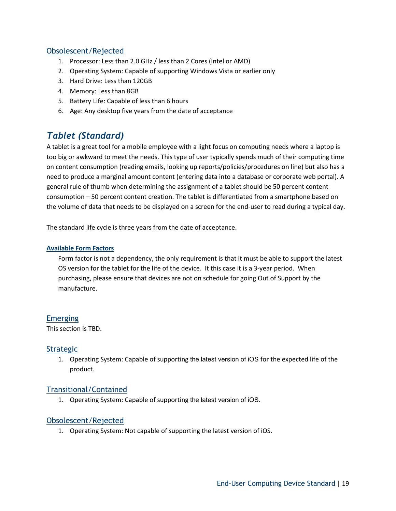# <span id="page-18-0"></span>Obsolescent/Rejected

- 1. Processor: Less than 2.0 GHz / less than 2 Cores (Intel or AMD)
- 2. Operating System: Capable of supporting Windows Vista or earlier only
- 3. Hard Drive: Less than 120GB
- 4. Memory: Less than 8GB
- 5. Battery Life: Capable of less than 6 hours
- 6. Age: Any desktop five years from the date of acceptance

# <span id="page-18-1"></span>*Tablet (Standard)*

A tablet is a great tool for a mobile employee with a light focus on computing needs where a laptop is too big or awkward to meet the needs. This type of user typically spends much of their computing time on content consumption (reading emails, looking up reports/policies/procedures on line) but also has a need to produce a marginal amount content (entering data into a database or corporate web portal). A general rule of thumb when determining the assignment of a tablet should be 50 percent content consumption – 50 percent content creation. The tablet is differentiated from a smartphone based on the volume of data that needs to be displayed on a screen for the end-user to read during a typical day.

The standard life cycle is three years from the date of acceptance.

#### **Available Form Factors**

Form factor is not a dependency, the only requirement is that it must be able to support the latest OS version for the tablet for the life of the device. It this case it is a 3-year period. When purchasing, please ensure that devices are not on schedule for going Out of Support by the manufacture.

#### <span id="page-18-2"></span>**Emerging**

This section is TBD.

#### **Strategic**

1. Operating System: Capable of supporting the latest version of iOS for the expected life of the product.

#### Transitional/Contained

1. Operating System: Capable of supporting the latest version of iOS.

#### Obsolescent/Rejected

1. Operating System: Not capable of supporting the latest version of iOS.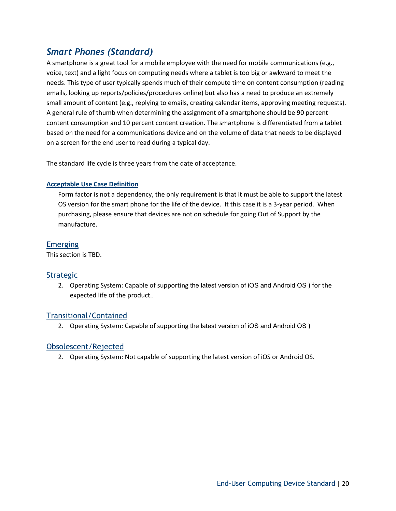# <span id="page-19-0"></span>*Smart Phones (Standard)*

A smartphone is a great tool for a mobile employee with the need for mobile communications (e.g., voice, text) and a light focus on computing needs where a tablet is too big or awkward to meet the needs. This type of user typically spends much of their compute time on content consumption (reading emails, looking up reports/policies/procedures online) but also has a need to produce an extremely small amount of content (e.g., replying to emails, creating calendar items, approving meeting requests). A general rule of thumb when determining the assignment of a smartphone should be 90 percent content consumption and 10 percent content creation. The smartphone is differentiated from a tablet based on the need for a communications device and on the volume of data that needs to be displayed on a screen for the end user to read during a typical day.

The standard life cycle is three years from the date of acceptance.

#### **Acceptable Use Case Definition**

Form factor is not a dependency, the only requirement is that it must be able to support the latest OS version for the smart phone for the life of the device. It this case it is a 3-year period. When purchasing, please ensure that devices are not on schedule for going Out of Support by the manufacture.

# <span id="page-19-1"></span>Emerging

This section is TBD.

# <span id="page-19-2"></span>**Strategic**

2. Operating System: Capable of supporting the latest version of iOS and Android OS ) for the expected life of the product..

# <span id="page-19-3"></span>Transitional/Contained

2. Operating System: Capable of supporting the latest version of iOS and Android OS )

# <span id="page-19-4"></span>Obsolescent/Rejected

2. Operating System: Not capable of supporting the latest version of iOS or Android OS.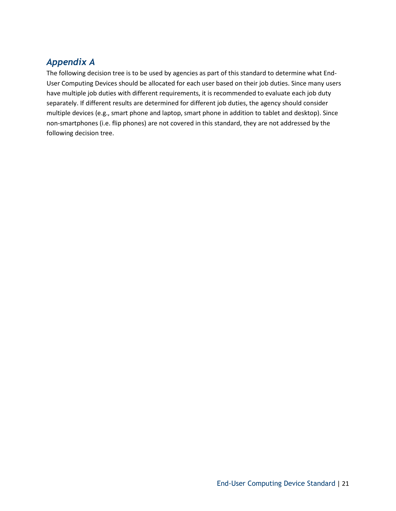# <span id="page-20-0"></span>*Appendix A*

The following decision tree is to be used by agencies as part of this standard to determine what End-User Computing Devices should be allocated for each user based on their job duties. Since many users have multiple job duties with different requirements, it is recommended to evaluate each job duty separately. If different results are determined for different job duties, the agency should consider multiple devices (e.g., smart phone and laptop, smart phone in addition to tablet and desktop). Since non-smartphones (i.e. flip phones) are not covered in this standard, they are not addressed by the following decision tree.